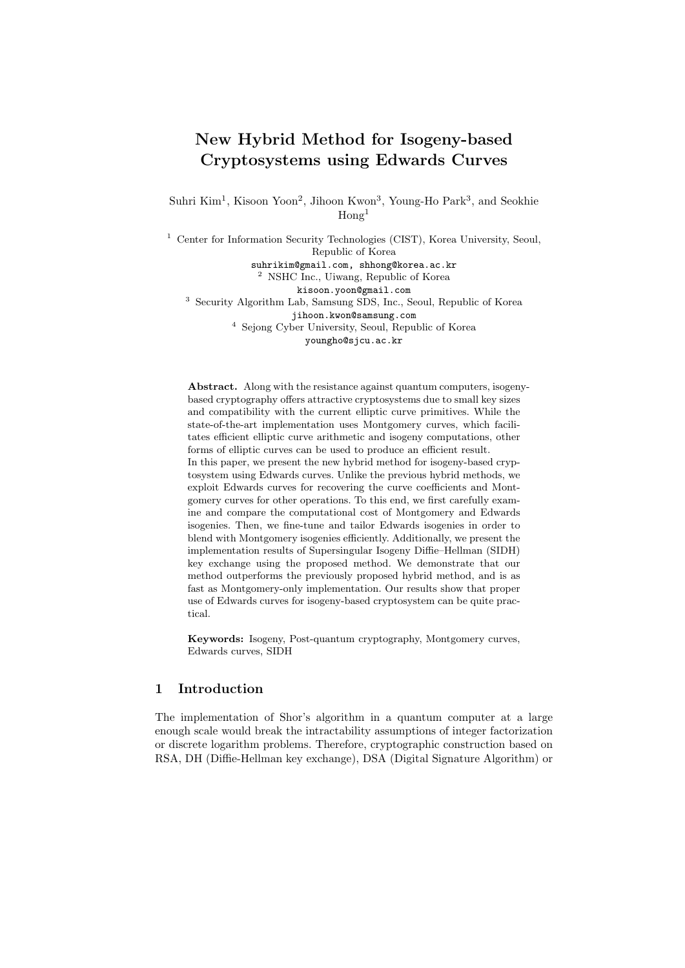# New Hybrid Method for Isogeny-based Cryptosystems using Edwards Curves

Suhri Kim<sup>1</sup>, Kisoon Yoon<sup>2</sup>, Jihoon Kwon<sup>3</sup>, Young-Ho Park<sup>3</sup>, and Seokhie  $\text{Hom} \mathfrak{g}^1$ 

<sup>1</sup> Center for Information Security Technologies (CIST), Korea University, Seoul, Republic of Korea

suhrikim@gmail.com, shhong@korea.ac.kr <sup>2</sup> NSHC Inc., Uiwang, Republic of Korea

kisoon.yoon@gmail.com

<sup>3</sup> Security Algorithm Lab, Samsung SDS, Inc., Seoul, Republic of Korea jihoon.kwon@samsung.com

<sup>4</sup> Sejong Cyber University, Seoul, Republic of Korea

youngho@sjcu.ac.kr

Abstract. Along with the resistance against quantum computers, isogenybased cryptography offers attractive cryptosystems due to small key sizes and compatibility with the current elliptic curve primitives. While the state-of-the-art implementation uses Montgomery curves, which facilitates efficient elliptic curve arithmetic and isogeny computations, other forms of elliptic curves can be used to produce an efficient result. In this paper, we present the new hybrid method for isogeny-based cryptosystem using Edwards curves. Unlike the previous hybrid methods, we exploit Edwards curves for recovering the curve coefficients and Montgomery curves for other operations. To this end, we first carefully examine and compare the computational cost of Montgomery and Edwards isogenies. Then, we fine-tune and tailor Edwards isogenies in order to blend with Montgomery isogenies efficiently. Additionally, we present the implementation results of Supersingular Isogeny Diffie–Hellman (SIDH) key exchange using the proposed method. We demonstrate that our method outperforms the previously proposed hybrid method, and is as fast as Montgomery-only implementation. Our results show that proper use of Edwards curves for isogeny-based cryptosystem can be quite practical.

Keywords: Isogeny, Post-quantum cryptography, Montgomery curves, Edwards curves, SIDH

## 1 Introduction

The implementation of Shor's algorithm in a quantum computer at a large enough scale would break the intractability assumptions of integer factorization or discrete logarithm problems. Therefore, cryptographic construction based on RSA, DH (Diffie-Hellman key exchange), DSA (Digital Signature Algorithm) or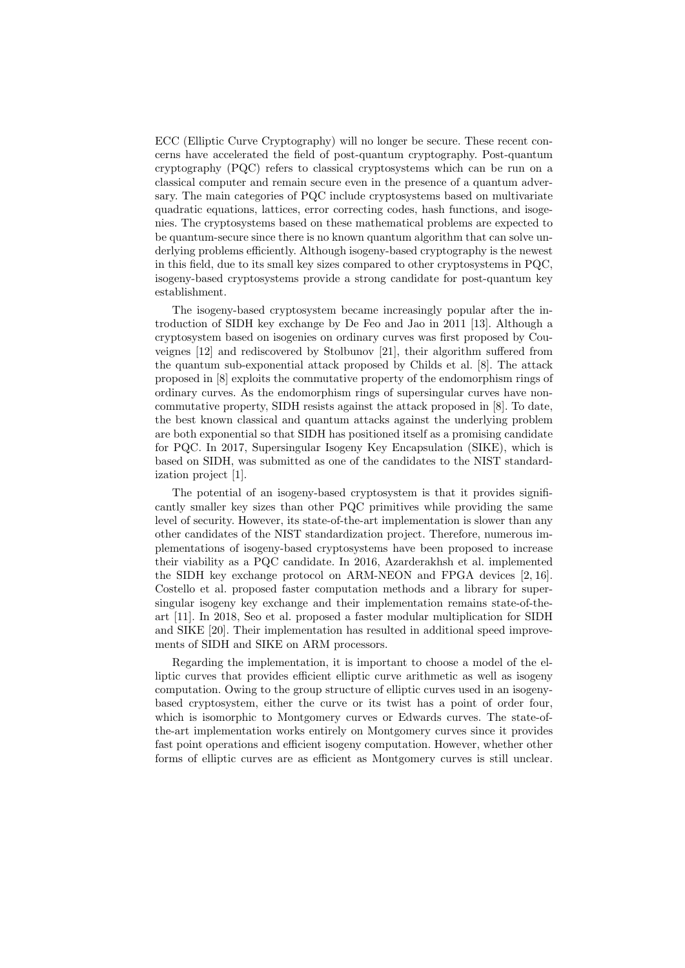ECC (Elliptic Curve Cryptography) will no longer be secure. These recent concerns have accelerated the field of post-quantum cryptography. Post-quantum cryptography (PQC) refers to classical cryptosystems which can be run on a classical computer and remain secure even in the presence of a quantum adversary. The main categories of PQC include cryptosystems based on multivariate quadratic equations, lattices, error correcting codes, hash functions, and isogenies. The cryptosystems based on these mathematical problems are expected to be quantum-secure since there is no known quantum algorithm that can solve underlying problems efficiently. Although isogeny-based cryptography is the newest in this field, due to its small key sizes compared to other cryptosystems in PQC, isogeny-based cryptosystems provide a strong candidate for post-quantum key establishment.

The isogeny-based cryptosystem became increasingly popular after the introduction of SIDH key exchange by De Feo and Jao in 2011 [13]. Although a cryptosystem based on isogenies on ordinary curves was first proposed by Couveignes [12] and rediscovered by Stolbunov [21], their algorithm suffered from the quantum sub-exponential attack proposed by Childs et al. [8]. The attack proposed in [8] exploits the commutative property of the endomorphism rings of ordinary curves. As the endomorphism rings of supersingular curves have noncommutative property, SIDH resists against the attack proposed in [8]. To date, the best known classical and quantum attacks against the underlying problem are both exponential so that SIDH has positioned itself as a promising candidate for PQC. In 2017, Supersingular Isogeny Key Encapsulation (SIKE), which is based on SIDH, was submitted as one of the candidates to the NIST standardization project [1].

The potential of an isogeny-based cryptosystem is that it provides significantly smaller key sizes than other PQC primitives while providing the same level of security. However, its state-of-the-art implementation is slower than any other candidates of the NIST standardization project. Therefore, numerous implementations of isogeny-based cryptosystems have been proposed to increase their viability as a PQC candidate. In 2016, Azarderakhsh et al. implemented the SIDH key exchange protocol on ARM-NEON and FPGA devices [2, 16]. Costello et al. proposed faster computation methods and a library for supersingular isogeny key exchange and their implementation remains state-of-theart [11]. In 2018, Seo et al. proposed a faster modular multiplication for SIDH and SIKE [20]. Their implementation has resulted in additional speed improvements of SIDH and SIKE on ARM processors.

Regarding the implementation, it is important to choose a model of the elliptic curves that provides efficient elliptic curve arithmetic as well as isogeny computation. Owing to the group structure of elliptic curves used in an isogenybased cryptosystem, either the curve or its twist has a point of order four, which is isomorphic to Montgomery curves or Edwards curves. The state-ofthe-art implementation works entirely on Montgomery curves since it provides fast point operations and efficient isogeny computation. However, whether other forms of elliptic curves are as efficient as Montgomery curves is still unclear.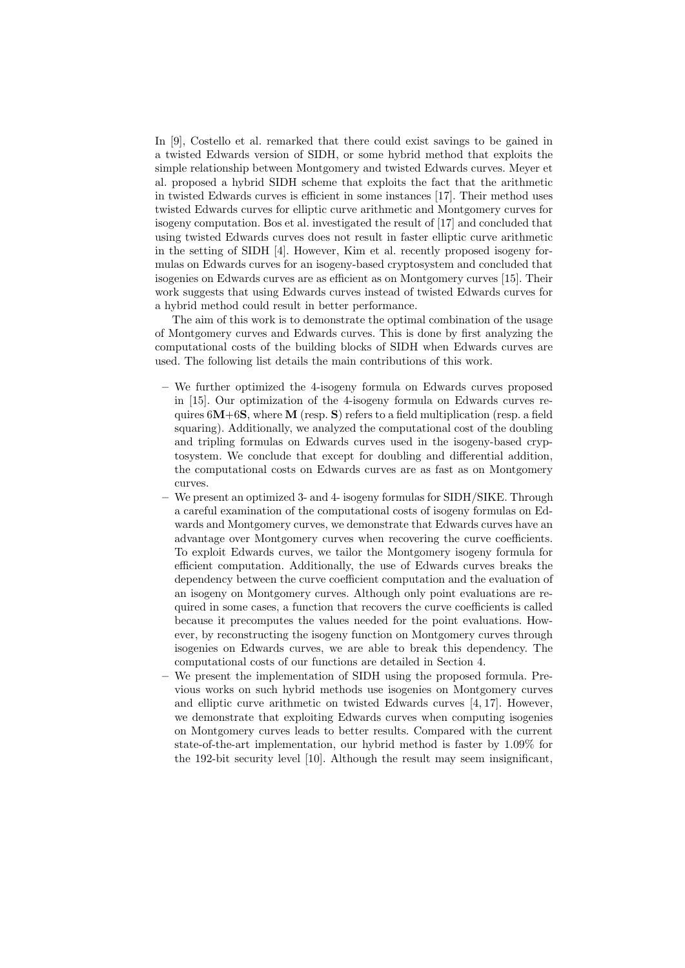In [9], Costello et al. remarked that there could exist savings to be gained in a twisted Edwards version of SIDH, or some hybrid method that exploits the simple relationship between Montgomery and twisted Edwards curves. Meyer et al. proposed a hybrid SIDH scheme that exploits the fact that the arithmetic in twisted Edwards curves is efficient in some instances [17]. Their method uses twisted Edwards curves for elliptic curve arithmetic and Montgomery curves for isogeny computation. Bos et al. investigated the result of [17] and concluded that using twisted Edwards curves does not result in faster elliptic curve arithmetic in the setting of SIDH [4]. However, Kim et al. recently proposed isogeny formulas on Edwards curves for an isogeny-based cryptosystem and concluded that isogenies on Edwards curves are as efficient as on Montgomery curves [15]. Their work suggests that using Edwards curves instead of twisted Edwards curves for a hybrid method could result in better performance.

The aim of this work is to demonstrate the optimal combination of the usage of Montgomery curves and Edwards curves. This is done by first analyzing the computational costs of the building blocks of SIDH when Edwards curves are used. The following list details the main contributions of this work.

- We further optimized the 4-isogeny formula on Edwards curves proposed in [15]. Our optimization of the 4-isogeny formula on Edwards curves requires  $6M+6S$ , where M (resp. S) refers to a field multiplication (resp. a field squaring). Additionally, we analyzed the computational cost of the doubling and tripling formulas on Edwards curves used in the isogeny-based cryptosystem. We conclude that except for doubling and differential addition, the computational costs on Edwards curves are as fast as on Montgomery curves.
- We present an optimized 3- and 4- isogeny formulas for SIDH/SIKE. Through a careful examination of the computational costs of isogeny formulas on Edwards and Montgomery curves, we demonstrate that Edwards curves have an advantage over Montgomery curves when recovering the curve coefficients. To exploit Edwards curves, we tailor the Montgomery isogeny formula for efficient computation. Additionally, the use of Edwards curves breaks the dependency between the curve coefficient computation and the evaluation of an isogeny on Montgomery curves. Although only point evaluations are required in some cases, a function that recovers the curve coefficients is called because it precomputes the values needed for the point evaluations. However, by reconstructing the isogeny function on Montgomery curves through isogenies on Edwards curves, we are able to break this dependency. The computational costs of our functions are detailed in Section 4.
- We present the implementation of SIDH using the proposed formula. Previous works on such hybrid methods use isogenies on Montgomery curves and elliptic curve arithmetic on twisted Edwards curves [4, 17]. However, we demonstrate that exploiting Edwards curves when computing isogenies on Montgomery curves leads to better results. Compared with the current state-of-the-art implementation, our hybrid method is faster by 1.09% for the 192-bit security level [10]. Although the result may seem insignificant,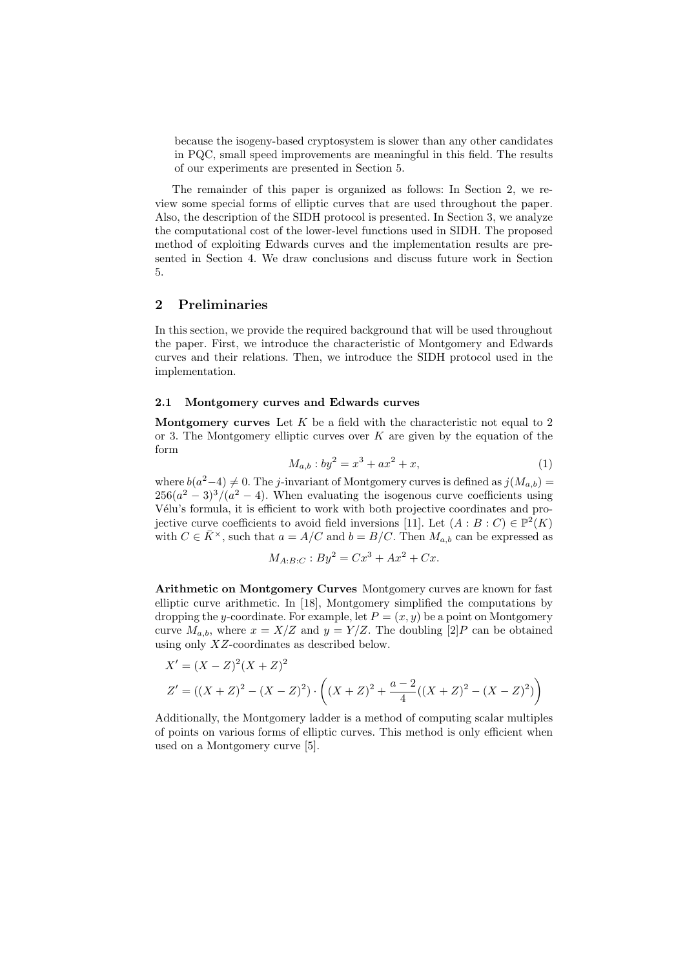because the isogeny-based cryptosystem is slower than any other candidates in PQC, small speed improvements are meaningful in this field. The results of our experiments are presented in Section 5.

The remainder of this paper is organized as follows: In Section 2, we review some special forms of elliptic curves that are used throughout the paper. Also, the description of the SIDH protocol is presented. In Section 3, we analyze the computational cost of the lower-level functions used in SIDH. The proposed method of exploiting Edwards curves and the implementation results are presented in Section 4. We draw conclusions and discuss future work in Section 5.

## 2 Preliminaries

In this section, we provide the required background that will be used throughout the paper. First, we introduce the characteristic of Montgomery and Edwards curves and their relations. Then, we introduce the SIDH protocol used in the implementation.

#### 2.1 Montgomery curves and Edwards curves

**Montgomery curves** Let  $K$  be a field with the characteristic not equal to 2 or 3. The Montgomery elliptic curves over  $K$  are given by the equation of the form

$$
M_{a,b}: by^2 = x^3 + ax^2 + x,\t\t(1)
$$

where  $b(a^2-4) \neq 0$ . The j-invariant of Montgomery curves is defined as  $j(M_{a,b}) =$  $256(a^2-3)^3/(a^2-4)$ . When evaluating the isogenous curve coefficients using Vélu's formula, it is efficient to work with both projective coordinates and projective curve coefficients to avoid field inversions [11]. Let  $(A : B : C) \in \mathbb{P}^2(K)$ with  $C \in \overline{K}^{\times}$ , such that  $a = A/C$  and  $b = B/C$ . Then  $M_{a,b}$  can be expressed as

$$
M_{A:B:C}: By^2 = Cx^3 + Ax^2 + Cx.
$$

Arithmetic on Montgomery Curves Montgomery curves are known for fast elliptic curve arithmetic. In [18], Montgomery simplified the computations by dropping the y-coordinate. For example, let  $P = (x, y)$  be a point on Montgomery curve  $M_{a,b}$ , where  $x = X/Z$  and  $y = Y/Z$ . The doubling [2]  $P$  can be obtained using only XZ-coordinates as described below.

$$
X' = (X - Z)^2 (X + Z)^2
$$
  
\n
$$
Z' = ((X + Z)^2 - (X - Z)^2) \cdot \left( (X + Z)^2 + \frac{a - 2}{4} ((X + Z)^2 - (X - Z)^2) \right)
$$

Additionally, the Montgomery ladder is a method of computing scalar multiples of points on various forms of elliptic curves. This method is only efficient when used on a Montgomery curve [5].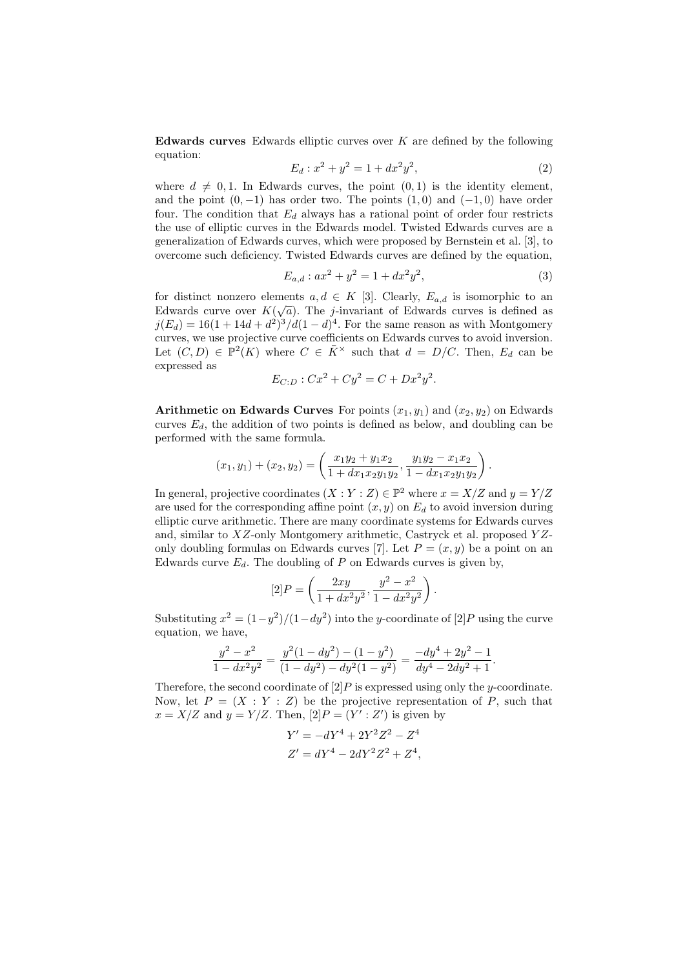Edwards curves Edwards elliptic curves over  $K$  are defined by the following equation:

$$
E_d: x^2 + y^2 = 1 + dx^2 y^2,
$$
\n(2)

where  $d \neq 0, 1$ . In Edwards curves, the point  $(0, 1)$  is the identity element, and the point  $(0, -1)$  has order two. The points  $(1, 0)$  and  $(-1, 0)$  have order four. The condition that  $E_d$  always has a rational point of order four restricts the use of elliptic curves in the Edwards model. Twisted Edwards curves are a generalization of Edwards curves, which were proposed by Bernstein et al. [3], to overcome such deficiency. Twisted Edwards curves are defined by the equation,

$$
E_{a,d}: ax^2 + y^2 = 1 + dx^2y^2,
$$
\n(3)

for distinct nonzero elements  $a, d \in K$  [3]. Clearly,  $E_{a,d}$  is isomorphic to an Edwards curve over  $K(\sqrt{a})$ . The *j*-invariant of Edwards curves is defined as  $j(E_d) = 16(1 + 14d + d^2)^3/d(1 - d)^4$ . For the same reason as with Montgomery curves, we use projective curve coefficients on Edwards curves to avoid inversion. Let  $(C, D) \in \mathbb{P}^2(K)$  where  $C \in \overline{K}^{\times}$  such that  $d = D/C$ . Then,  $E_d$  can be expressed as

$$
E_{C:D}: Cx^2 + Cy^2 = C + Dx^2y^2.
$$

Arithmetic on Edwards Curves For points  $(x_1, y_1)$  and  $(x_2, y_2)$  on Edwards curves  $E_d$ , the addition of two points is defined as below, and doubling can be performed with the same formula.

$$
(x_1, y_1) + (x_2, y_2) = \left(\frac{x_1y_2 + y_1x_2}{1 + dx_1x_2y_1y_2}, \frac{y_1y_2 - x_1x_2}{1 - dx_1x_2y_1y_2}\right).
$$

In general, projective coordinates  $(X:Y:Z) \in \mathbb{P}^2$  where  $x = X/Z$  and  $y = Y/Z$ are used for the corresponding affine point  $(x, y)$  on  $E_d$  to avoid inversion during elliptic curve arithmetic. There are many coordinate systems for Edwards curves and, similar to  $XZ$ -only Montgomery arithmetic, Castryck et al. proposed  $YZ$ only doubling formulas on Edwards curves [7]. Let  $P = (x, y)$  be a point on an Edwards curve  $E_d$ . The doubling of P on Edwards curves is given by,

$$
[2]P = \left(\frac{2xy}{1+dx^2y^2}, \frac{y^2-x^2}{1-dx^2y^2}\right).
$$

Substituting  $x^2 = (1 - y^2)/(1 - dy^2)$  into the y-coordinate of [2] P using the curve equation, we have,

$$
\frac{y^2 - x^2}{1 - dx^2 y^2} = \frac{y^2 (1 - dy^2) - (1 - y^2)}{(1 - dy^2) - dy^2 (1 - y^2)} = \frac{-dy^4 + 2y^2 - 1}{dy^4 - 2dy^2 + 1}.
$$

Therefore, the second coordinate of  $[2]P$  is expressed using only the y-coordinate. Now, let  $P = (X : Y : Z)$  be the projective representation of P, such that  $x = X/Z$  and  $y = Y/Z$ . Then,  $[2]P = (Y' : Z')$  is given by

$$
Y' = -dY^4 + 2Y^2Z^2 - Z^4
$$
  

$$
Z' = dY^4 - 2dY^2Z^2 + Z^4,
$$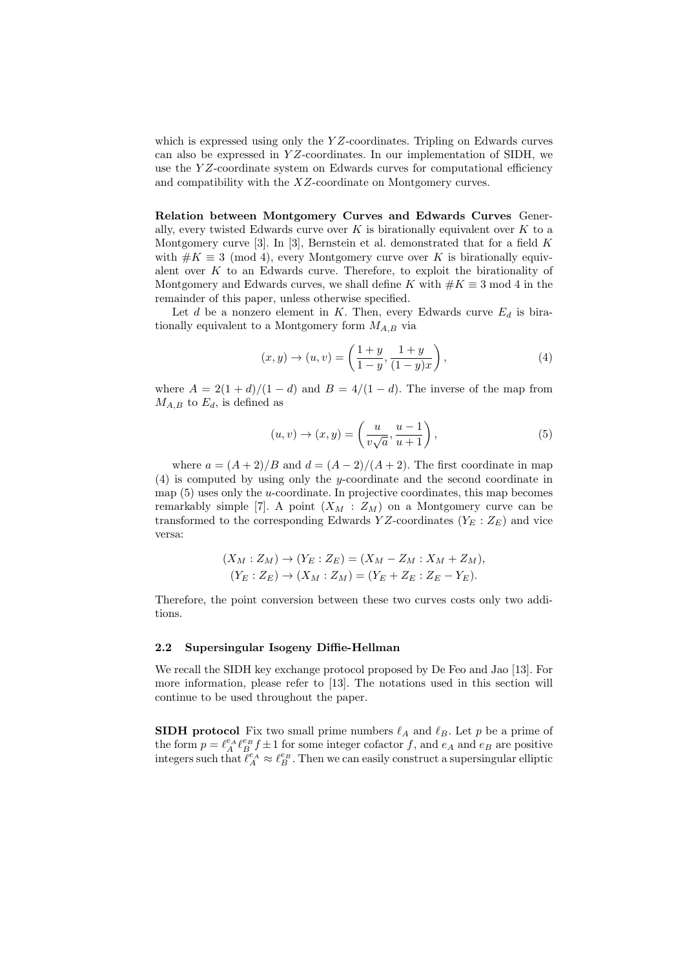which is expressed using only the  $YZ$ -coordinates. Tripling on Edwards curves can also be expressed in  $YZ$ -coordinates. In our implementation of SIDH, we use the YZ-coordinate system on Edwards curves for computational efficiency and compatibility with the XZ-coordinate on Montgomery curves.

Relation between Montgomery Curves and Edwards Curves Generally, every twisted Edwards curve over  $K$  is birationally equivalent over  $K$  to a Montgomery curve [3]. In [3], Bernstein et al. demonstrated that for a field  $K$ with  $\#K \equiv 3 \pmod{4}$ , every Montgomery curve over K is birationally equivalent over  $K$  to an Edwards curve. Therefore, to exploit the birationality of Montgomery and Edwards curves, we shall define K with  $\#K \equiv 3 \mod 4$  in the remainder of this paper, unless otherwise specified.

Let d be a nonzero element in K. Then, every Edwards curve  $E_d$  is birationally equivalent to a Montgomery form  $M_{A,B}$  via

$$
(x, y) \to (u, v) = \left(\frac{1+y}{1-y}, \frac{1+y}{(1-y)x}\right),
$$
 (4)

where  $A = 2(1 + d)/(1 - d)$  and  $B = 4/(1 - d)$ . The inverse of the map from  $M_{A,B}$  to  $E_d$ , is defined as

$$
(u, v) \to (x, y) = \left(\frac{u}{v\sqrt{a}}, \frac{u-1}{u+1}\right),\tag{5}
$$

where  $a = (A + 2)/B$  and  $d = (A - 2)/(A + 2)$ . The first coordinate in map (4) is computed by using only the y-coordinate and the second coordinate in map  $(5)$  uses only the *u*-coordinate. In projective coordinates, this map becomes remarkably simple [7]. A point  $(X_M : Z_M)$  on a Montgomery curve can be transformed to the corresponding Edwards YZ-coordinates ( $Y_E : Z_E$ ) and vice versa:

$$
(X_M : Z_M) \to (Y_E : Z_E) = (X_M - Z_M : X_M + Z_M),
$$
  

$$
(Y_E : Z_E) \to (X_M : Z_M) = (Y_E + Z_E : Z_E - Y_E).
$$

Therefore, the point conversion between these two curves costs only two additions.

#### 2.2 Supersingular Isogeny Diffie-Hellman

We recall the SIDH key exchange protocol proposed by De Feo and Jao [13]. For more information, please refer to [13]. The notations used in this section will continue to be used throughout the paper.

**SIDH protocol** Fix two small prime numbers  $\ell_A$  and  $\ell_B$ . Let p be a prime of the form  $p = \ell_A^{e_A} \ell_B^{e_B} f \pm 1$  for some integer cofactor f, and  $e_A$  and  $e_B$  are positive integers such that  $\ell_A^{e_A} \approx \ell_B^{e_B}$ . Then we can easily construct a supersingular elliptic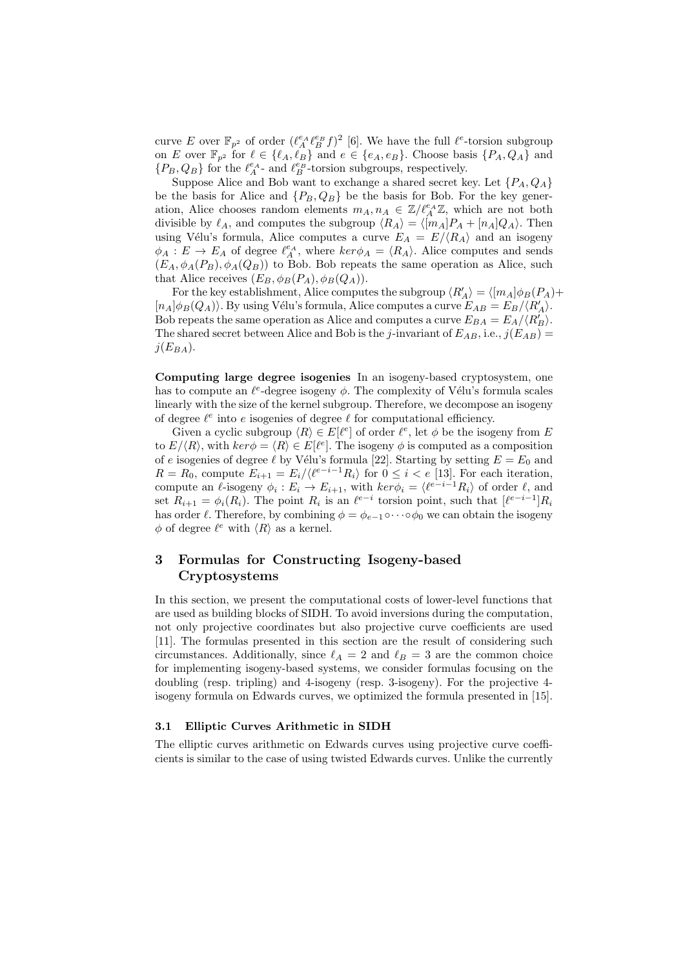curve E over  $\mathbb{F}_{p^2}$  of order  $(\ell_A^{e_A} \ell_B^{e_B} f)^2$  [6]. We have the full  $\ell^e$ -torsion subgroup on E over  $\mathbb{F}_{p^2}$  for  $\ell \in \{\ell_A, \ell_B\}$  and  $e \in \{e_A, e_B\}$ . Choose basis  $\{P_A, Q_A\}$  and  $\{P_B, Q_B\}$  for the  $\ell_A^{e_A}$ - and  $\ell_B^{e_B}$ -torsion subgroups, respectively.

Suppose Alice and Bob want to exchange a shared secret key. Let  $\{P_A, Q_A\}$ be the basis for Alice and  $\{P_B, Q_B\}$  be the basis for Bob. For the key generation, Alice chooses random elements  $m_A, n_A \in \mathbb{Z}/\ell_A^{e_A}\mathbb{Z}$ , which are not both divisible by  $\ell_A$ , and computes the subgroup  $\langle R_A \rangle = \langle [m_A]P_A + [n_A]Q_A \rangle$ . Then using Vélu's formula, Alice computes a curve  $E_A = E/(R_A)$  and an isogeny  $\phi_A : E \to E_A$  of degree  $\ell_A^{e_A}$ , where  $\ker \phi_A = \langle R_A \rangle$ . Alice computes and sends  $(E_A, \phi_A(P_B), \phi_A(Q_B))$  to Bob. Bob repeats the same operation as Alice, such that Alice receives  $(E_B, \phi_B(P_A), \phi_B(Q_A)).$ 

For the key establishment, Alice computes the subgroup  $\langle R'_A \rangle = \langle [m_A] \phi_B(P_A) + \phi_B(P_B) \phi_B(P_B) \rangle$  $[n_A]\phi_B(Q_A)\rangle$ . By using Vélu's formula, Alice computes a curve  $E_{AB} = E_B/\langle R'_A\rangle$ . Bob repeats the same operation as Alice and computes a curve  $E_{BA} = E_A / \langle R_B' \rangle$ . The shared secret between Alice and Bob is the j-invariant of  $E_{AB}$ , i.e.,  $j(E_{AB})$  =  $j(E_{BA})$ .

Computing large degree isogenies In an isogeny-based cryptosystem, one has to compute an  $\ell^e$ -degree isogeny  $\phi$ . The complexity of Vélu's formula scales linearly with the size of the kernel subgroup. Therefore, we decompose an isogeny of degree  $\ell^e$  into e isogenies of degree  $\ell$  for computational efficiency.

Given a cyclic subgroup  $\langle R \rangle \in E[\ell^e]$  of order  $\ell^e$ , let  $\phi$  be the isogeny from E to  $E/\langle R \rangle$ , with  $ker \phi = \langle R \rangle \in E[\ell^e]$ . The isogeny  $\phi$  is computed as a composition of e isogenies of degree  $\ell$  by Vélu's formula [22]. Starting by setting  $E = E_0$  and  $R = R_0$ , compute  $E_{i+1} = E_i / \langle \ell^{e-i-1} R_i \rangle$  for  $0 \le i < e$  [13]. For each iteration, compute an  $\ell$ -isogeny  $\phi_i : E_i \to E_{i+1}$ , with  $\ker \phi_i = \langle \ell^{e-i-1}R_i \rangle$  of order  $\ell$ , and set  $R_{i+1} = \phi_i(R_i)$ . The point  $R_i$  is an  $\ell^{e-i}$  torsion point, such that  $[\ell^{e-i-1}]R_i$ has order  $\ell$ . Therefore, by combining  $\phi = \phi_{e-1} \circ \cdots \circ \phi_0$  we can obtain the isogeny  $\phi$  of degree  $\ell^e$  with  $\langle R \rangle$  as a kernel.

# 3 Formulas for Constructing Isogeny-based Cryptosystems

In this section, we present the computational costs of lower-level functions that are used as building blocks of SIDH. To avoid inversions during the computation, not only projective coordinates but also projective curve coefficients are used [11]. The formulas presented in this section are the result of considering such circumstances. Additionally, since  $\ell_A = 2$  and  $\ell_B = 3$  are the common choice for implementing isogeny-based systems, we consider formulas focusing on the doubling (resp. tripling) and 4-isogeny (resp. 3-isogeny). For the projective 4 isogeny formula on Edwards curves, we optimized the formula presented in [15].

## 3.1 Elliptic Curves Arithmetic in SIDH

The elliptic curves arithmetic on Edwards curves using projective curve coefficients is similar to the case of using twisted Edwards curves. Unlike the currently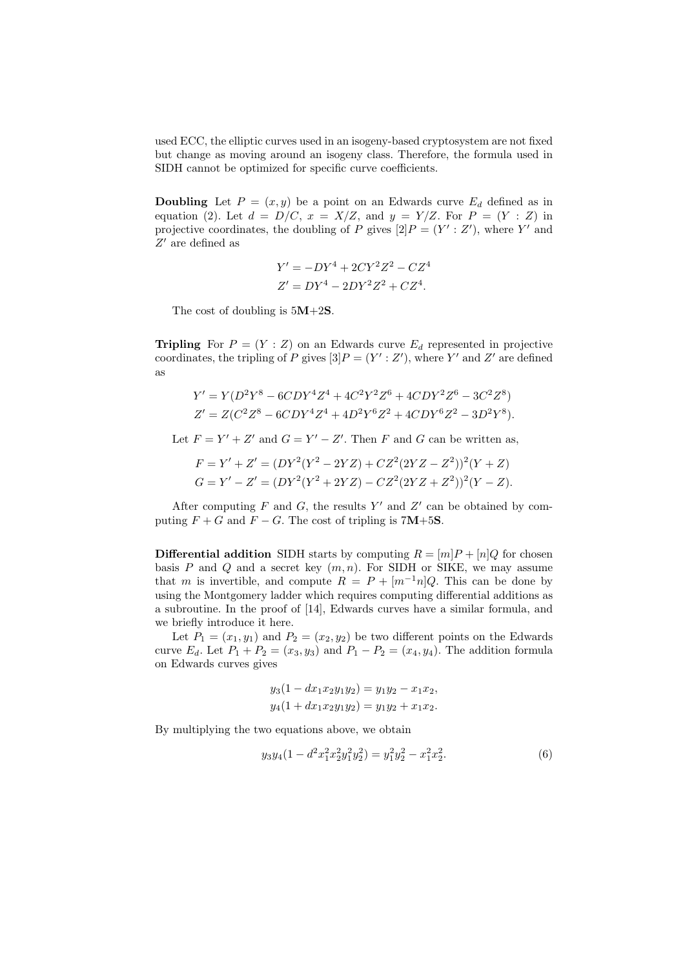used ECC, the elliptic curves used in an isogeny-based cryptosystem are not fixed but change as moving around an isogeny class. Therefore, the formula used in SIDH cannot be optimized for specific curve coefficients.

**Doubling** Let  $P = (x, y)$  be a point on an Edwards curve  $E_d$  defined as in equation (2). Let  $d = D/C$ ,  $x = X/Z$ , and  $y = Y/Z$ . For  $P = (Y : Z)$  in projective coordinates, the doubling of P gives  $[2]P = (Y' : Z')$ , where Y' and  $Z^\prime$  are defined as

$$
Y' = -DY^4 + 2CY^2Z^2 - CZ^4
$$
  

$$
Z' = DY^4 - 2DY^2Z^2 + CZ^4.
$$

The cost of doubling is  $5M+2S$ .

**Tripling** For  $P = (Y : Z)$  on an Edwards curve  $E_d$  represented in projective coordinates, the tripling of P gives  $[3]P = (Y' : Z')$ , where Y' and Z' are defined as

$$
Y' = Y(D^2Y^8 - 6CDY^4Z^4 + 4C^2Y^2Z^6 + 4CDY^2Z^6 - 3C^2Z^8)
$$
  
\n
$$
Z' = Z(C^2Z^8 - 6CDY^4Z^4 + 4D^2Y^6Z^2 + 4CDY^6Z^2 - 3D^2Y^8).
$$

Let  $F = Y' + Z'$  and  $G = Y' - Z'$ . Then F and G can be written as,

$$
F = Y' + Z' = (DY^{2}(Y^{2} - 2YZ) + CZ^{2}(2YZ - Z^{2}))^{2}(Y + Z)
$$
  
\n
$$
G = Y' - Z' = (DY^{2}(Y^{2} + 2YZ) - CZ^{2}(2YZ + Z^{2}))^{2}(Y - Z).
$$

After computing  $F$  and  $G$ , the results  $Y'$  and  $Z'$  can be obtained by computing  $F + G$  and  $F - G$ . The cost of tripling is 7M+5S.

**Differential addition** SIDH starts by computing  $R = [m]P + [n]Q$  for chosen basis P and Q and a secret key  $(m, n)$ . For SIDH or SIKE, we may assume that m is invertible, and compute  $R = P + [m^{-1}n]Q$ . This can be done by using the Montgomery ladder which requires computing differential additions as a subroutine. In the proof of [14], Edwards curves have a similar formula, and we briefly introduce it here.

Let  $P_1 = (x_1, y_1)$  and  $P_2 = (x_2, y_2)$  be two different points on the Edwards curve  $E_d$ . Let  $P_1 + P_2 = (x_3, y_3)$  and  $P_1 - P_2 = (x_4, y_4)$ . The addition formula on Edwards curves gives

$$
y_3(1 - dx_1x_2y_1y_2) = y_1y_2 - x_1x_2,
$$
  

$$
y_4(1 + dx_1x_2y_1y_2) = y_1y_2 + x_1x_2.
$$

By multiplying the two equations above, we obtain

$$
y_3y_4(1 - d^2x_1^2x_2^2y_1^2y_2^2) = y_1^2y_2^2 - x_1^2x_2^2.
$$
 (6)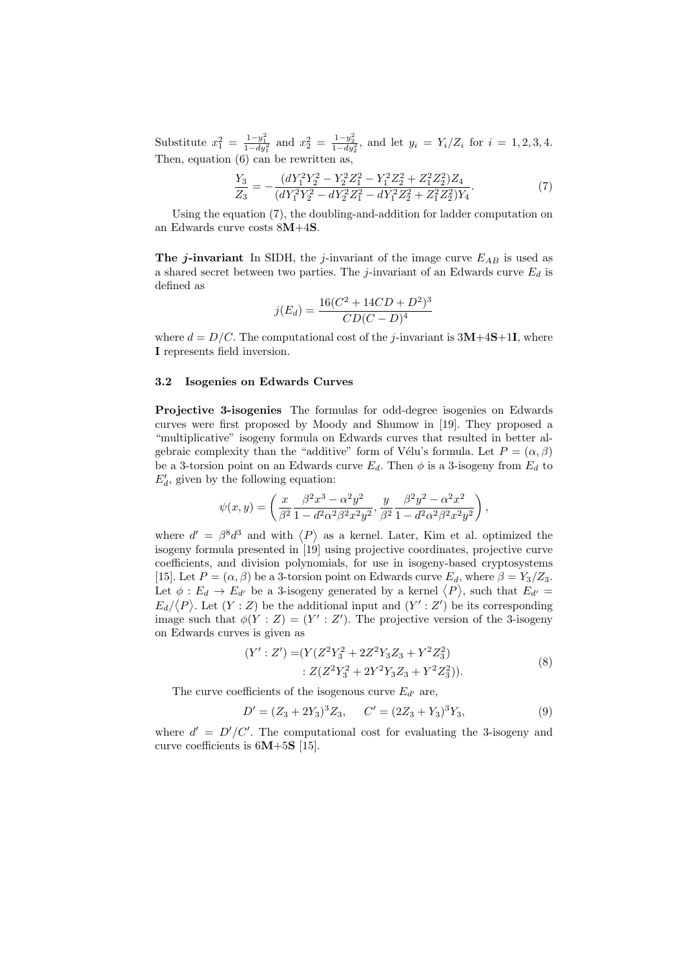Substitute  $x_1^2 = \frac{1-y_1^2}{1-dy_1^2}$  and  $x_2^2 = \frac{1-y_2^2}{1-dy_2^2}$ , and let  $y_i = Y_i/Z_i$  for  $i = 1, 2, 3, 4$ . Then, equation  $(6)$  can be rewritten as,

$$
\frac{Y_3}{Z_3} = -\frac{(dY_1^2Y_2^2 - Y_2^2Z_1^2 - Y_1^2Z_2^2 + Z_1^2Z_2^2)Z_4}{(dY_1^2Y_2^2 - dY_2^2Z_1^2 - dY_1^2Z_2^2 + Z_1^2Z_2^2)Y_4}.\tag{7}
$$

Using the equation (7), the doubling-and-addition for ladder computation on an Edwards curve costs 8M+4S.

The j-invariant In SIDH, the j-invariant of the image curve  $E_{AB}$  is used as a shared secret between two parties. The j-invariant of an Edwards curve  $E_d$  is defined as

$$
j(E_d) = \frac{16(C^2 + 14CD + D^2)^3}{CD(C - D)^4}
$$

where  $d = D/C$ . The computational cost of the j-invariant is  $3M+4S+1I$ , where I represents field inversion.

#### 3.2 Isogenies on Edwards Curves

Projective 3-isogenies The formulas for odd-degree isogenies on Edwards curves were first proposed by Moody and Shumow in [19]. They proposed a "multiplicative" isogeny formula on Edwards curves that resulted in better algebraic complexity than the "additive" form of Vélu's formula. Let  $P = (\alpha, \beta)$ be a 3-torsion point on an Edwards curve  $E_d$ . Then  $\phi$  is a 3-isogeny from  $E_d$  to  $E'_d$ , given by the following equation:

$$
\psi(x,y) = \left(\frac{x}{\beta^2} \frac{\beta^2 x^3 - \alpha^2 y^2}{1 - d^2 \alpha^2 \beta^2 x^2 y^2}, \frac{y}{\beta^2} \frac{\beta^2 y^2 - \alpha^2 x^2}{1 - d^2 \alpha^2 \beta^2 x^2 y^2}\right),
$$

where  $d' = \beta^8 d^3$  and with  $\langle P \rangle$  as a kernel. Later, Kim et al. optimized the isogeny formula presented in [19] using projective coordinates, projective curve coefficients, and division polynomials, for use in isogeny-based cryptosystems [15]. Let  $P = (\alpha, \beta)$  be a 3-torsion point on Edwards curve  $E_d$ , where  $\beta = Y_3/Z_3$ . Let  $\phi : E_d \to E_{d'}$  be a 3-isogeny generated by a kernel  $\langle P \rangle$ , such that  $E_{d'} =$  $E_d/\langle P \rangle$ . Let  $(Y:Z)$  be the additional input and  $(Y':Z')$  be its corresponding image such that  $\phi(Y : Z) = (Y' : Z')$ . The projective version of the 3-isogeny on Edwards curves is given as

$$
(Y': Z') = (Y(Z2Y32 + 2Z2Y3Z3 + Y2Z32) \n\vdots Z(Z2Y32 + 2Y2Y3Z3 + Y2Z32)).
$$
\n(8)

The curve coefficients of the isogenous curve  $E_{d'}$  are,

$$
D' = (Z_3 + 2Y_3)^3 Z_3, \qquad C' = (2Z_3 + Y_3)^3 Y_3,\tag{9}
$$

where  $d' = D'/C'$ . The computational cost for evaluating the 3-isogeny and curve coefficients is  $6M+5S$  [15].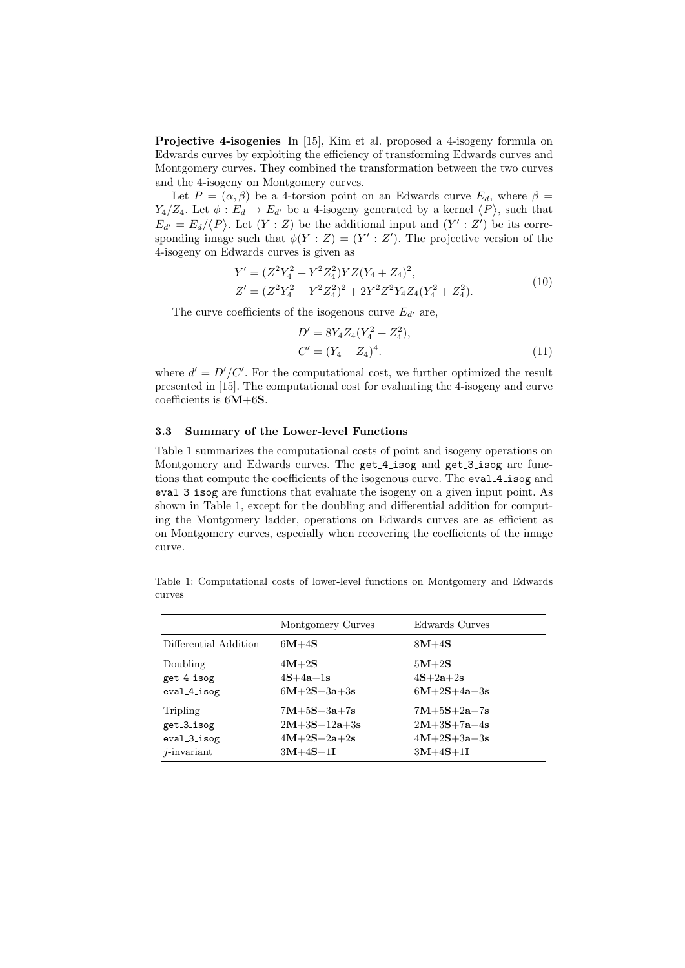Projective 4-isogenies In [15], Kim et al. proposed a 4-isogeny formula on Edwards curves by exploiting the efficiency of transforming Edwards curves and Montgomery curves. They combined the transformation between the two curves and the 4-isogeny on Montgomery curves.

Let  $P = (\alpha, \beta)$  be a 4-torsion point on an Edwards curve  $E_d$ , where  $\beta =$  $Y_4/Z_4$ . Let  $\phi: E_d \to E_{d'}$  be a 4-isogeny generated by a kernel  $\langle P \rangle$ , such that  $E_{d'} = E_d / \langle P \rangle$ . Let  $(Y : Z)$  be the additional input and  $(Y' : Z')$  be its corresponding image such that  $\phi(Y : Z) = (Y' : Z')$ . The projective version of the 4-isogeny on Edwards curves is given as

$$
Y' = (Z^2 Y_4^2 + Y^2 Z_4^2) Y Z (Y_4 + Z_4)^2,
$$
  
\n
$$
Z' = (Z^2 Y_4^2 + Y^2 Z_4^2)^2 + 2Y^2 Z^2 Y_4 Z_4 (Y_4^2 + Z_4^2).
$$
\n(10)

The curve coefficients of the isogenous curve  $E_{d'}$  are,

$$
D' = 8Y_4 Z_4 (Y_4^2 + Z_4^2),
$$
  
\n
$$
C' = (Y_4 + Z_4)^4.
$$
\n(11)

where  $d' = D'/C'$ . For the computational cost, we further optimized the result presented in [15]. The computational cost for evaluating the 4-isogeny and curve coefficients is 6M+6S.

#### 3.3 Summary of the Lower-level Functions

Table 1 summarizes the computational costs of point and isogeny operations on Montgomery and Edwards curves. The get 4 isog and get 3 isog are functions that compute the coefficients of the isogenous curve. The eval 4 isog and eval 3 isog are functions that evaluate the isogeny on a given input point. As shown in Table 1, except for the doubling and differential addition for computing the Montgomery ladder, operations on Edwards curves are as efficient as on Montgomery curves, especially when recovering the coefficients of the image curve.

Table 1: Computational costs of lower-level functions on Montgomery and Edwards curves

|                       | Montgomery Curves | Edwards Curves |
|-----------------------|-------------------|----------------|
| Differential Addition | $6M+4S$           | $8M+4S$        |
| Doubling              | $4M+2S$           | $5M+2S$        |
| get_4_isog            | $4S+4a+1s$        | $4S+2a+2s$     |
| $eval_4$ isog         | $6M+2S+3a+3s$     | $6M+2S+4a+3s$  |
| Tripling              | $7M+5S+3a+7s$     | $7M+5S+2a+7s$  |
| get_3_isog            | $2M+3S+12a+3s$    | $2M+3S+7a+4s$  |
| $eval_3$ isog         | $4M+2S+2a+2s$     | $4M+2S+3a+3s$  |
| $i$ -invariant        | $3M+4S+1I$        | $3M+4S+1I$     |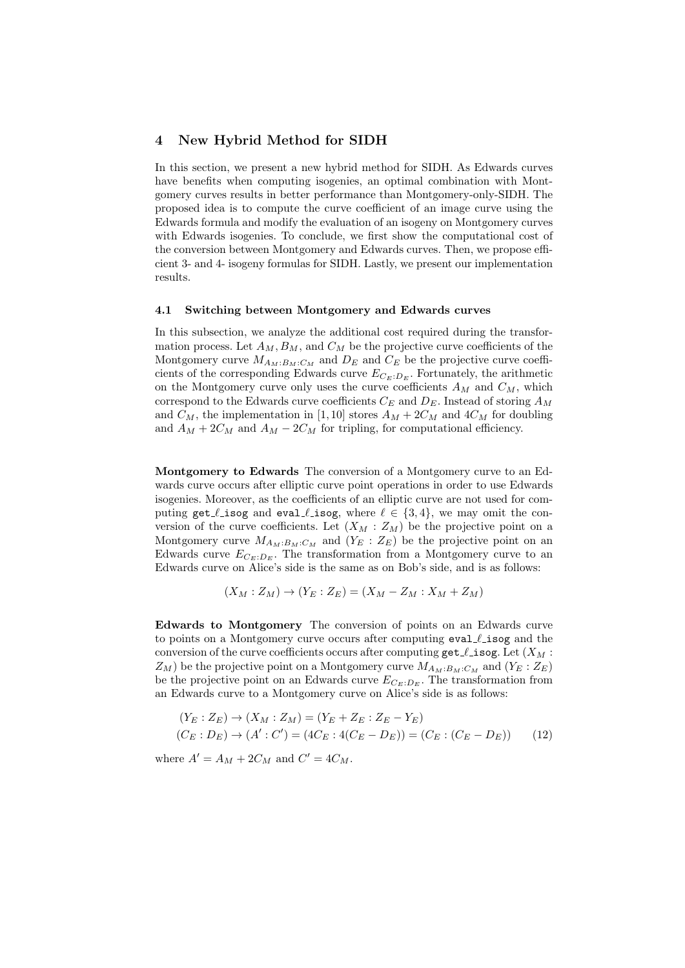## 4 New Hybrid Method for SIDH

In this section, we present a new hybrid method for SIDH. As Edwards curves have benefits when computing isogenies, an optimal combination with Montgomery curves results in better performance than Montgomery-only-SIDH. The proposed idea is to compute the curve coefficient of an image curve using the Edwards formula and modify the evaluation of an isogeny on Montgomery curves with Edwards isogenies. To conclude, we first show the computational cost of the conversion between Montgomery and Edwards curves. Then, we propose efficient 3- and 4- isogeny formulas for SIDH. Lastly, we present our implementation results.

## 4.1 Switching between Montgomery and Edwards curves

In this subsection, we analyze the additional cost required during the transformation process. Let  $A_M$ ,  $B_M$ , and  $C_M$  be the projective curve coefficients of the Montgomery curve  $M_{A_M:B_M:C_M}$  and  $D_E$  and  $C_E$  be the projective curve coefficients of the corresponding Edwards curve  $E_{C_E:D_E}$ . Fortunately, the arithmetic on the Montgomery curve only uses the curve coefficients  $A_M$  and  $C_M$ , which correspond to the Edwards curve coefficients  $C_E$  and  $D_E$ . Instead of storing  $A_M$ and  $C_M$ , the implementation in [1,10] stores  $A_M + 2C_M$  and  $4C_M$  for doubling and  $A_M + 2C_M$  and  $A_M - 2C_M$  for tripling, for computational efficiency.

Montgomery to Edwards The conversion of a Montgomery curve to an Edwards curve occurs after elliptic curve point operations in order to use Edwards isogenies. Moreover, as the coefficients of an elliptic curve are not used for computing get  $\ell$  isog and eval  $\ell$  isog, where  $\ell \in \{3, 4\}$ , we may omit the conversion of the curve coefficients. Let  $(X_M : Z_M)$  be the projective point on a Montgomery curve  $M_{A_M:B_M:C_M}$  and  $(Y_E:Z_E)$  be the projective point on an Edwards curve  $E_{C_E:D_E}$ . The transformation from a Montgomery curve to an Edwards curve on Alice's side is the same as on Bob's side, and is as follows:

$$
(X_M:Z_M)\to (Y_E:Z_E)=(X_M-Z_M:X_M+Z_M)
$$

Edwards to Montgomery The conversion of points on an Edwards curve to points on a Montgomery curve occurs after computing  $eval$  isog and the conversion of the curve coefficients occurs after computing  $\texttt{get}\_\texttt{Isog}.$  Let  $(X_M :$  $Z_M$ ) be the projective point on a Montgomery curve  $M_{A_M:B_M:C_M}$  and  $(Y_E:Z_E)$ be the projective point on an Edwards curve  $E_{C_E:D_E}$ . The transformation from an Edwards curve to a Montgomery curve on Alice's side is as follows:

$$
(Y_E : Z_E) \to (X_M : Z_M) = (Y_E + Z_E : Z_E - Y_E)
$$
  
(C<sub>E</sub> : D<sub>E</sub>) \to (A' : C') = (4C<sub>E</sub> : 4(C<sub>E</sub> - D<sub>E</sub>)) = (C<sub>E</sub> : (C<sub>E</sub> - D<sub>E</sub>)) (12)

where  $A' = A_M + 2C_M$  and  $C' = 4C_M$ .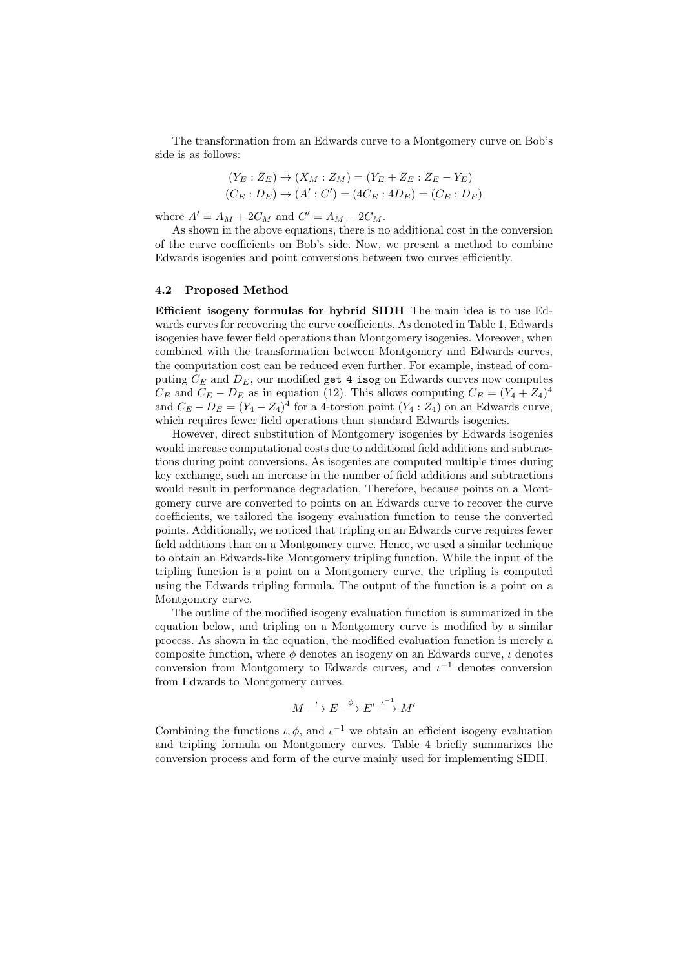The transformation from an Edwards curve to a Montgomery curve on Bob's side is as follows:

$$
(Y_E : Z_E) \to (X_M : Z_M) = (Y_E + Z_E : Z_E - Y_E)
$$
  

$$
(C_E : D_E) \to (A' : C') = (4C_E : 4D_E) = (C_E : D_E)
$$

where  $A' = A_M + 2C_M$  and  $C' = A_M - 2C_M$ .

As shown in the above equations, there is no additional cost in the conversion of the curve coefficients on Bob's side. Now, we present a method to combine Edwards isogenies and point conversions between two curves efficiently.

#### 4.2 Proposed Method

Efficient isogeny formulas for hybrid SIDH The main idea is to use Edwards curves for recovering the curve coefficients. As denoted in Table 1, Edwards isogenies have fewer field operations than Montgomery isogenies. Moreover, when combined with the transformation between Montgomery and Edwards curves, the computation cost can be reduced even further. For example, instead of computing  $C_E$  and  $D_E$ , our modified get 4 isog on Edwards curves now computes  $C_E$  and  $C_E - D_E$  as in equation (12). This allows computing  $C_E = (Y_4 + Z_4)^4$ and  $C_E - D_E = (Y_4 - Z_4)^4$  for a 4-torsion point  $(Y_4 : Z_4)$  on an Edwards curve, which requires fewer field operations than standard Edwards isogenies.

However, direct substitution of Montgomery isogenies by Edwards isogenies would increase computational costs due to additional field additions and subtractions during point conversions. As isogenies are computed multiple times during key exchange, such an increase in the number of field additions and subtractions would result in performance degradation. Therefore, because points on a Montgomery curve are converted to points on an Edwards curve to recover the curve coefficients, we tailored the isogeny evaluation function to reuse the converted points. Additionally, we noticed that tripling on an Edwards curve requires fewer field additions than on a Montgomery curve. Hence, we used a similar technique to obtain an Edwards-like Montgomery tripling function. While the input of the tripling function is a point on a Montgomery curve, the tripling is computed using the Edwards tripling formula. The output of the function is a point on a Montgomery curve.

The outline of the modified isogeny evaluation function is summarized in the equation below, and tripling on a Montgomery curve is modified by a similar process. As shown in the equation, the modified evaluation function is merely a composite function, where  $\phi$  denotes an isogeny on an Edwards curve,  $\iota$  denotes conversion from Montgomery to Edwards curves, and  $\iota^{-1}$  denotes conversion from Edwards to Montgomery curves.

$$
M \stackrel{\iota}{\longrightarrow} E \stackrel{\phi}{\longrightarrow} E' \stackrel{\iota^{-1}}{\longrightarrow} M'
$$

Combining the functions  $\iota, \phi$ , and  $\iota^{-1}$  we obtain an efficient isogeny evaluation and tripling formula on Montgomery curves. Table 4 briefly summarizes the conversion process and form of the curve mainly used for implementing SIDH.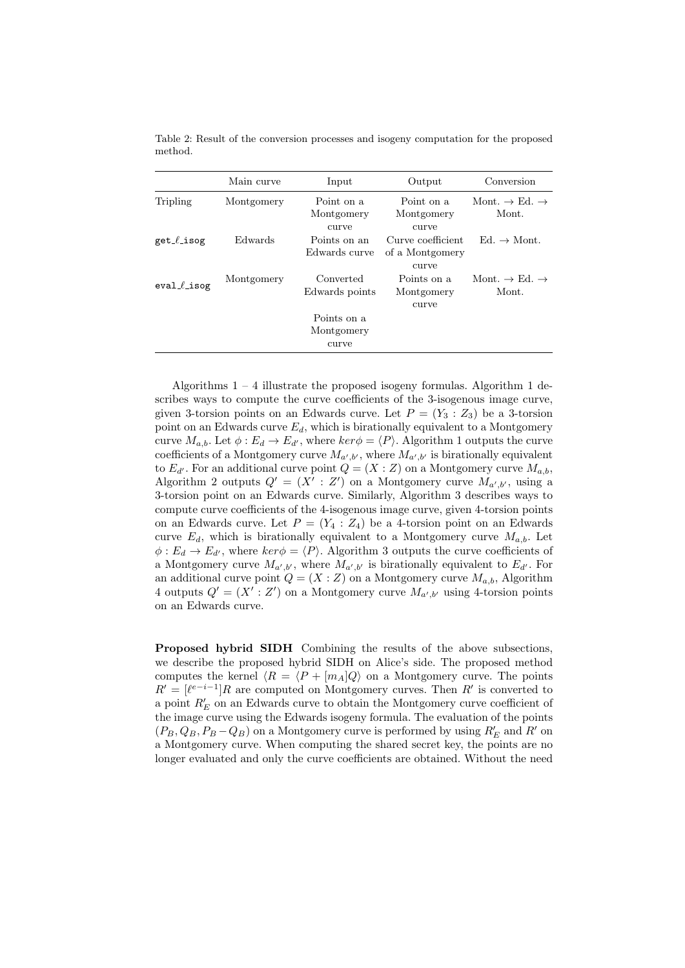|                | Main curve | Input                              | Output                                        | Conversion                                     |
|----------------|------------|------------------------------------|-----------------------------------------------|------------------------------------------------|
| Tripling       | Montgomery | Point on a<br>Montgomery<br>curve  | Point on a<br>Montgomery<br>curve             | Mont. $\rightarrow$ Ed. $\rightarrow$<br>Mont. |
| $get$ $l$ isog | Edwards    | Points on an<br>Edwards curve      | Curve coefficient<br>of a Montgomery<br>curve | $Ed. \rightarrow Mont.$                        |
| $eval$ isog    | Montgomery | Converted<br>Edwards points        | Points on a<br>Montgomery<br>curve            | Mont. $\rightarrow$ Ed. $\rightarrow$<br>Mont. |
|                |            | Points on a<br>Montgomery<br>curve |                                               |                                                |

Table 2: Result of the conversion processes and isogeny computation for the proposed method.

Algorithms  $1 - 4$  illustrate the proposed isogeny formulas. Algorithm 1 describes ways to compute the curve coefficients of the 3-isogenous image curve, given 3-torsion points on an Edwards curve. Let  $P = (Y_3 : Z_3)$  be a 3-torsion point on an Edwards curve  $E_d$ , which is birationally equivalent to a Montgomery curve  $M_{a,b}$ . Let  $\phi : E_d \to E_{d'}$ , where  $\ker \phi = \langle P \rangle$ . Algorithm 1 outputs the curve coefficients of a Montgomery curve  $M_{a',b'}$ , where  $M_{a',b'}$  is birationally equivalent to  $E_{d'}$ . For an additional curve point  $Q = (X : Z)$  on a Montgomery curve  $M_{a,b}$ , Algorithm 2 outputs  $Q' = (X' : Z')$  on a Montgomery curve  $M_{a',b'}$ , using a 3-torsion point on an Edwards curve. Similarly, Algorithm 3 describes ways to compute curve coefficients of the 4-isogenous image curve, given 4-torsion points on an Edwards curve. Let  $P = (Y_4 : Z_4)$  be a 4-torsion point on an Edwards curve  $E_d$ , which is birationally equivalent to a Montgomery curve  $M_{a,b}$ . Let  $\phi: E_d \to E_{d'}$ , where  $\ker \phi = \langle P \rangle$ . Algorithm 3 outputs the curve coefficients of a Montgomery curve  $M_{a',b'}$ , where  $M_{a',b'}$  is birationally equivalent to  $E_{d'}$ . For an additional curve point  $Q = (X : Z)$  on a Montgomery curve  $M_{a,b}$ , Algorithm 4 outputs  $Q' = (X' : Z')$  on a Montgomery curve  $M_{a',b'}$  using 4-torsion points on an Edwards curve.

Proposed hybrid SIDH Combining the results of the above subsections, we describe the proposed hybrid SIDH on Alice's side. The proposed method computes the kernel  $\langle R = \langle P + [m_A]Q \rangle$  on a Montgomery curve. The points  $R' = [\ell^{e-i-1}]R$  are computed on Montgomery curves. Then R' is converted to a point  $R^{\prime}_{E}$  on an Edwards curve to obtain the Montgomery curve coefficient of the image curve using the Edwards isogeny formula. The evaluation of the points  $(P_B, Q_B, P_B - Q_B)$  on a Montgomery curve is performed by using  $R'_E$  and  $R'$  on a Montgomery curve. When computing the shared secret key, the points are no longer evaluated and only the curve coefficients are obtained. Without the need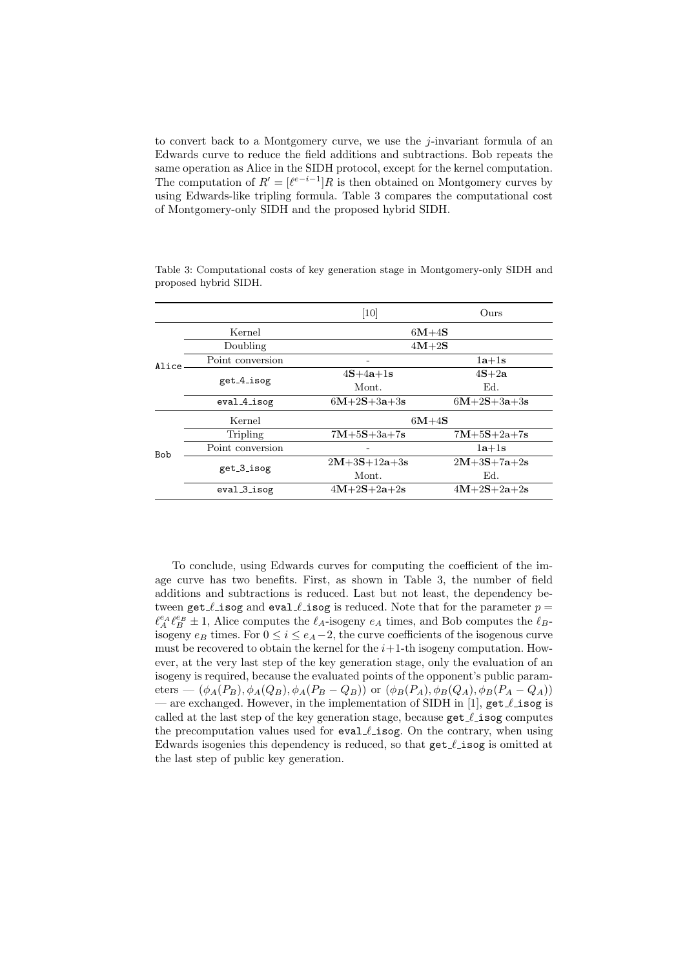to convert back to a Montgomery curve, we use the  $j$ -invariant formula of an Edwards curve to reduce the field additions and subtractions. Bob repeats the same operation as Alice in the SIDH protocol, except for the kernel computation. The computation of  $R' = [\ell^{e-i-1}]R$  is then obtained on Montgomery curves by using Edwards-like tripling formula. Table 3 compares the computational cost of Montgomery-only SIDH and the proposed hybrid SIDH.

|            |                        | [10]           | Ours          |  |
|------------|------------------------|----------------|---------------|--|
|            | Kernel                 | $6M+4S$        |               |  |
|            | Doubling               | $4M+2S$        |               |  |
| Alice:     | Point conversion       |                | $1a+1s$       |  |
|            | get <sub>-4-isog</sub> | $4S+4a+1s$     | $4S+2a$       |  |
|            |                        | Mont.          | Ed.           |  |
|            | $eval_4$ isog          | $6M+2S+3a+3s$  | $6M+2S+3a+3s$ |  |
| Kernel     |                        | $6M+4S$        |               |  |
| <b>Bob</b> | Tripling               | $7M+5S+3a+7s$  | $7M+5S+2a+7s$ |  |
|            | Point conversion       |                | $1a+1s$       |  |
|            |                        | $2M+3S+12a+3s$ | $2M+3S+7a+2s$ |  |
|            | get_3_isog             | Mont.          | Ed.           |  |
|            | eval_3_isog            | $4M+2S+2a+2s$  | $4M+2S+2a+2s$ |  |

Table 3: Computational costs of key generation stage in Montgomery-only SIDH and proposed hybrid SIDH.

To conclude, using Edwards curves for computing the coefficient of the image curve has two benefits. First, as shown in Table 3, the number of field additions and subtractions is reduced. Last but not least, the dependency between get  $\ell$  isog and eval  $\ell$  isog is reduced. Note that for the parameter  $p =$  $\ell_A^{e_A} \ell_B^{e_B} \pm 1$ , Alice computes the  $\ell_A$ -isogeny  $e_A$  times, and Bob computes the  $\ell_B$ isogeny  $e_B$  times. For  $0 \le i \le e_A - 2$ , the curve coefficients of the isogenous curve must be recovered to obtain the kernel for the  $i+1$ -th isogeny computation. However, at the very last step of the key generation stage, only the evaluation of an isogeny is required, because the evaluated points of the opponent's public parameters —  $(\phi_A(P_B), \phi_A(Q_B), \phi_A(P_B - Q_B))$  or  $(\phi_B(P_A), \phi_B(Q_A), \phi_B(P_A - Q_A))$ — are exchanged. However, in the implementation of SIDH in [1],  $get$   $\ell$  isog is called at the last step of the key generation stage, because  $get \ell$  isog computes the precomputation values used for eval  $\ell$  isog. On the contrary, when using Edwards isogenies this dependency is reduced, so that  $get \ell$  isog is omitted at the last step of public key generation.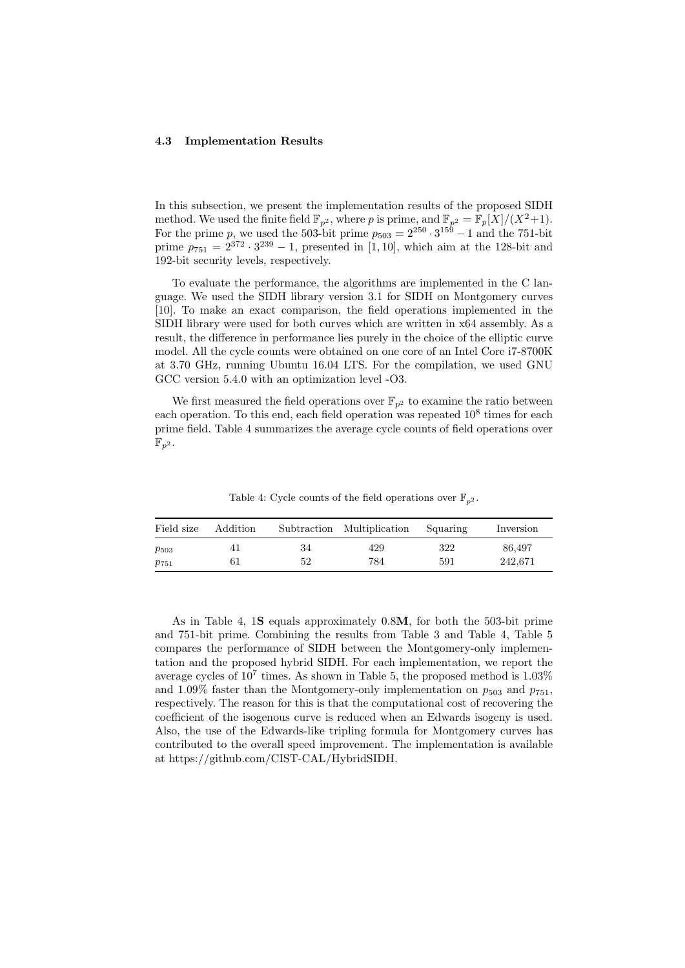#### 4.3 Implementation Results

In this subsection, we present the implementation results of the proposed SIDH method. We used the finite field  $\mathbb{F}_{p^2}$ , where p is prime, and  $\mathbb{F}_{p^2} = \mathbb{F}_p[X]/(X^2+1)$ . For the prime p, we used the 503-bit prime  $p_{503} = 2^{250} \cdot 3^{159} - 1$  and the 751-bit prime  $p_{751} = 2^{372} \cdot 3^{239} - 1$ , presented in [1, 10], which aim at the 128-bit and 192-bit security levels, respectively.

To evaluate the performance, the algorithms are implemented in the C language. We used the SIDH library version 3.1 for SIDH on Montgomery curves [10]. To make an exact comparison, the field operations implemented in the SIDH library were used for both curves which are written in x64 assembly. As a result, the difference in performance lies purely in the choice of the elliptic curve model. All the cycle counts were obtained on one core of an Intel Core i7-8700K at 3.70 GHz, running Ubuntu 16.04 LTS. For the compilation, we used GNU GCC version 5.4.0 with an optimization level -O3.

We first measured the field operations over  $\mathbb{F}_{p^2}$  to examine the ratio between each operation. To this end, each field operation was repeated 10<sup>8</sup> times for each prime field. Table 4 summarizes the average cycle counts of field operations over  $\mathbb{F}_{p^2}$ .

Field size Addition Subtraction Multiplication Squaring Inversion  $p_{503}$  41 34 429 322 86,497  $p_{751}$  61 52 784 591 242,671

Table 4: Cycle counts of the field operations over  $\mathbb{F}_{n^2}$ .

As in Table 4, 1S equals approximately 0.8M, for both the 503-bit prime and 751-bit prime. Combining the results from Table 3 and Table 4, Table 5 compares the performance of SIDH between the Montgomery-only implementation and the proposed hybrid SIDH. For each implementation, we report the average cycles of  $10^7$  times. As shown in Table 5, the proposed method is  $1.03\%$ and 1.09% faster than the Montgomery-only implementation on  $p_{503}$  and  $p_{751}$ , respectively. The reason for this is that the computational cost of recovering the coefficient of the isogenous curve is reduced when an Edwards isogeny is used. Also, the use of the Edwards-like tripling formula for Montgomery curves has contributed to the overall speed improvement. The implementation is available at https://github.com/CIST-CAL/HybridSIDH.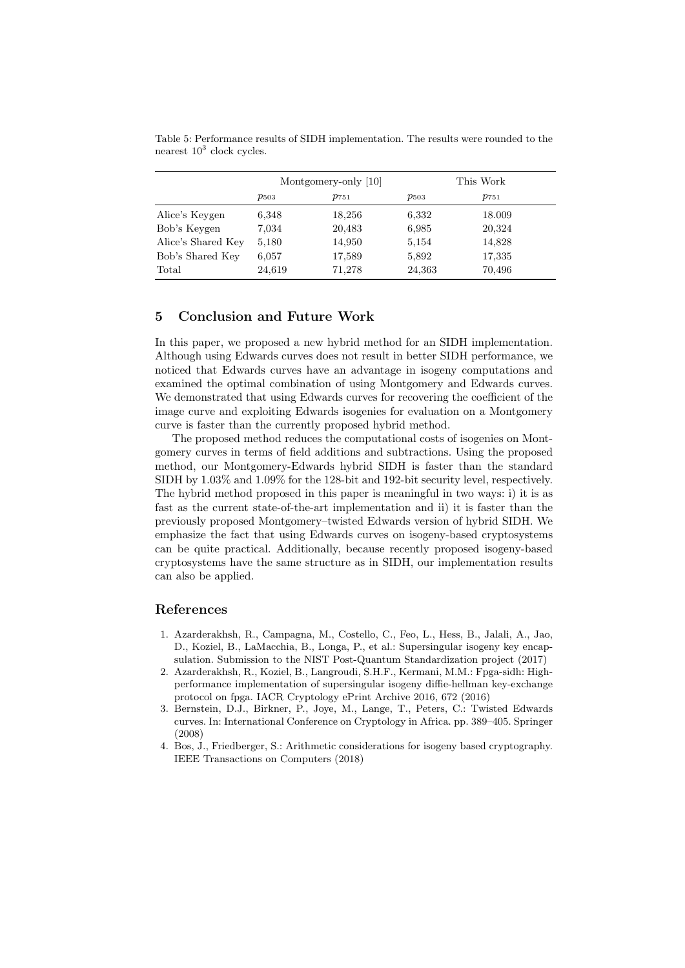|                    | Montgomery-only [10] |           | This Work |           |
|--------------------|----------------------|-----------|-----------|-----------|
|                    | $p_{503}$            | $p_{751}$ | $p_{503}$ | $p_{751}$ |
| Alice's Keygen     | 6,348                | 18,256    | 6,332     | 18.009    |
| Bob's Keygen       | 7,034                | 20,483    | 6.985     | 20,324    |
| Alice's Shared Key | 5,180                | 14,950    | 5,154     | 14,828    |
| Bob's Shared Key   | 6,057                | 17,589    | 5,892     | 17,335    |
| Total              | 24,619               | 71,278    | 24,363    | 70,496    |

Table 5: Performance results of SIDH implementation. The results were rounded to the nearest  $10^3$  clock cycles.

## 5 Conclusion and Future Work

In this paper, we proposed a new hybrid method for an SIDH implementation. Although using Edwards curves does not result in better SIDH performance, we noticed that Edwards curves have an advantage in isogeny computations and examined the optimal combination of using Montgomery and Edwards curves. We demonstrated that using Edwards curves for recovering the coefficient of the image curve and exploiting Edwards isogenies for evaluation on a Montgomery curve is faster than the currently proposed hybrid method.

The proposed method reduces the computational costs of isogenies on Montgomery curves in terms of field additions and subtractions. Using the proposed method, our Montgomery-Edwards hybrid SIDH is faster than the standard SIDH by 1.03% and 1.09% for the 128-bit and 192-bit security level, respectively. The hybrid method proposed in this paper is meaningful in two ways: i) it is as fast as the current state-of-the-art implementation and ii) it is faster than the previously proposed Montgomery–twisted Edwards version of hybrid SIDH. We emphasize the fact that using Edwards curves on isogeny-based cryptosystems can be quite practical. Additionally, because recently proposed isogeny-based cryptosystems have the same structure as in SIDH, our implementation results can also be applied.

# References

- 1. Azarderakhsh, R., Campagna, M., Costello, C., Feo, L., Hess, B., Jalali, A., Jao, D., Koziel, B., LaMacchia, B., Longa, P., et al.: Supersingular isogeny key encapsulation. Submission to the NIST Post-Quantum Standardization project (2017)
- 2. Azarderakhsh, R., Koziel, B., Langroudi, S.H.F., Kermani, M.M.: Fpga-sidh: Highperformance implementation of supersingular isogeny diffie-hellman key-exchange protocol on fpga. IACR Cryptology ePrint Archive 2016, 672 (2016)
- 3. Bernstein, D.J., Birkner, P., Joye, M., Lange, T., Peters, C.: Twisted Edwards curves. In: International Conference on Cryptology in Africa. pp. 389–405. Springer (2008)
- 4. Bos, J., Friedberger, S.: Arithmetic considerations for isogeny based cryptography. IEEE Transactions on Computers (2018)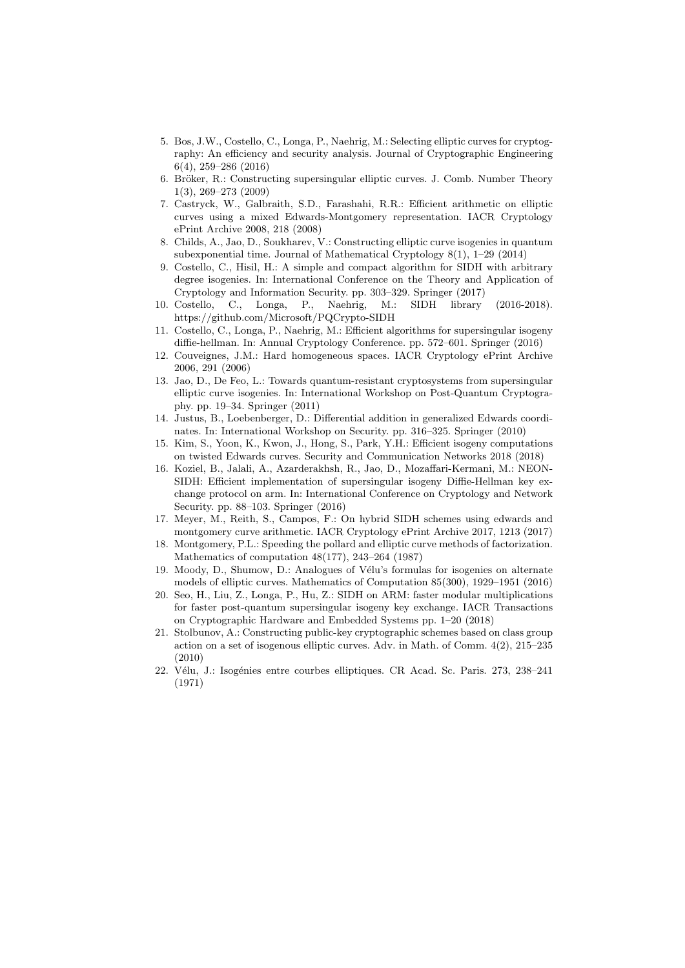- 5. Bos, J.W., Costello, C., Longa, P., Naehrig, M.: Selecting elliptic curves for cryptography: An efficiency and security analysis. Journal of Cryptographic Engineering 6(4), 259–286 (2016)
- 6. Bröker, R.: Constructing supersingular elliptic curves. J. Comb. Number Theory 1(3), 269–273 (2009)
- 7. Castryck, W., Galbraith, S.D., Farashahi, R.R.: Efficient arithmetic on elliptic curves using a mixed Edwards-Montgomery representation. IACR Cryptology ePrint Archive 2008, 218 (2008)
- 8. Childs, A., Jao, D., Soukharev, V.: Constructing elliptic curve isogenies in quantum subexponential time. Journal of Mathematical Cryptology 8(1), 1–29 (2014)
- 9. Costello, C., Hisil, H.: A simple and compact algorithm for SIDH with arbitrary degree isogenies. In: International Conference on the Theory and Application of Cryptology and Information Security. pp. 303–329. Springer (2017)
- 10. Costello, C., Longa, P., Naehrig, M.: SIDH library (2016-2018). https://github.com/Microsoft/PQCrypto-SIDH
- 11. Costello, C., Longa, P., Naehrig, M.: Efficient algorithms for supersingular isogeny diffie-hellman. In: Annual Cryptology Conference. pp. 572–601. Springer (2016)
- 12. Couveignes, J.M.: Hard homogeneous spaces. IACR Cryptology ePrint Archive 2006, 291 (2006)
- 13. Jao, D., De Feo, L.: Towards quantum-resistant cryptosystems from supersingular elliptic curve isogenies. In: International Workshop on Post-Quantum Cryptography. pp. 19–34. Springer (2011)
- 14. Justus, B., Loebenberger, D.: Differential addition in generalized Edwards coordinates. In: International Workshop on Security. pp. 316–325. Springer (2010)
- 15. Kim, S., Yoon, K., Kwon, J., Hong, S., Park, Y.H.: Efficient isogeny computations on twisted Edwards curves. Security and Communication Networks 2018 (2018)
- 16. Koziel, B., Jalali, A., Azarderakhsh, R., Jao, D., Mozaffari-Kermani, M.: NEON-SIDH: Efficient implementation of supersingular isogeny Diffie-Hellman key exchange protocol on arm. In: International Conference on Cryptology and Network Security. pp. 88–103. Springer (2016)
- 17. Meyer, M., Reith, S., Campos, F.: On hybrid SIDH schemes using edwards and montgomery curve arithmetic. IACR Cryptology ePrint Archive 2017, 1213 (2017)
- 18. Montgomery, P.L.: Speeding the pollard and elliptic curve methods of factorization. Mathematics of computation 48(177), 243–264 (1987)
- 19. Moody, D., Shumow, D.: Analogues of Vélu's formulas for isogenies on alternate models of elliptic curves. Mathematics of Computation 85(300), 1929–1951 (2016)
- 20. Seo, H., Liu, Z., Longa, P., Hu, Z.: SIDH on ARM: faster modular multiplications for faster post-quantum supersingular isogeny key exchange. IACR Transactions on Cryptographic Hardware and Embedded Systems pp. 1–20 (2018)
- 21. Stolbunov, A.: Constructing public-key cryptographic schemes based on class group action on a set of isogenous elliptic curves. Adv. in Math. of Comm. 4(2), 215–235 (2010)
- 22. Vélu, J.: Isogénies entre courbes elliptiques. CR Acad. Sc. Paris. 273, 238–241 (1971)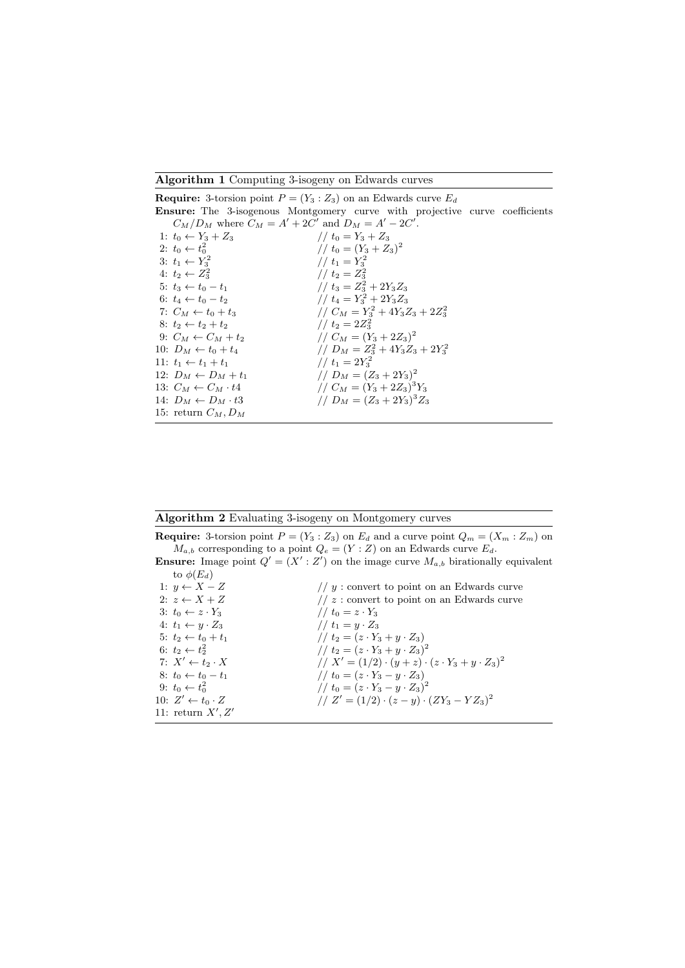Algorithm 1 Computing 3-isogeny on Edwards curves

|                                                         | <b>Require:</b> 3-torsion point $P = (Y_3 : Z_3)$ on an Edwards curve $E_d$        |  |
|---------------------------------------------------------|------------------------------------------------------------------------------------|--|
|                                                         | <b>Ensure:</b> The 3-isogenous Montgomery curve with projective curve coefficients |  |
| $C_M/D_M$ where $C_M = A' + 2C'$ and $D_M = A' - 2C'$ . |                                                                                    |  |
| 1: $t_0 \leftarrow Y_3 + Z_3$                           | // $t_0 = Y_3 + Z_3$                                                               |  |
| 2: $t_0 \leftarrow t_0^2$                               | // $t_0 = (Y_3 + Z_3)^2$                                                           |  |
| 3: $t_1 \leftarrow Y_3^2$                               | // $t_1 = Y_2^2$                                                                   |  |
| 4: $t_2 \leftarrow Z_3^2$                               | $1/t_2 = Z_3^2$                                                                    |  |
| $5: t_3 \leftarrow t_0 - t_1$                           | // $t_3 = Z_3^2 + 2Y_3Z_3$                                                         |  |
| 6: $t_4 \leftarrow t_0 - t_2$                           | // $t_4 = Y_3^2 + 2Y_3Z_3$                                                         |  |
| 7: $C_M \leftarrow t_0 + t_3$                           | // $C_M = Y_3^2 + 4Y_3Z_3 + 2Z_3^2$                                                |  |
| $8: t_2 \leftarrow t_2 + t_2$                           | $1/t_2 = 2Z_3^2$                                                                   |  |
| 9: $C_M \leftarrow C_M + t_2$                           | // $C_M = (Y_3 + 2Z_3)^2$                                                          |  |
| 10: $D_M \leftarrow t_0 + t_4$                          | // $D_M = Z_3^2 + 4Y_3Z_3 + 2Y_3^2$                                                |  |
| 11: $t_1 \leftarrow t_1 + t_1$                          | // $t_1 = 2Y_3^2$                                                                  |  |
| 12: $D_M \leftarrow D_M + t_1$                          | // $D_M = (Z_3 + 2Y_3)^2$                                                          |  |
| 13: $C_M \leftarrow C_M \cdot t4$                       | // $C_M = (Y_3 + 2Z_3)^3 Y_3$                                                      |  |
| 14: $D_M \leftarrow D_M \cdot t3$                       | // $D_M = (Z_3 + 2Y_3)^3 Z_3$                                                      |  |
| 15: return $C_M, D_M$                                   |                                                                                    |  |

Algorithm 2 Evaluating 3-isogeny on Montgomery curves

**Require:** 3-torsion point  $P = (Y_3 : Z_3)$  on  $E_d$  and a curve point  $Q_m = (X_m : Z_m)$  on  $M_{a,b}$  corresponding to a point  $Q_e = (Y : Z)$  on an Edwards curve  $E_d$ .

**Ensure:** Image point  $Q' = (X' : Z')$  on the image curve  $M_{a,b}$  birationally equivalent to  $\phi(E_d)$ 

| 1: $y \leftarrow X - Z$         | // $y$ : convert to point on an Edwards curve                     |
|---------------------------------|-------------------------------------------------------------------|
| 2: $z \leftarrow X + Z$         | // $z$ : convert to point on an Edwards curve                     |
| 3: $t_0 \leftarrow z \cdot Y_3$ | // $t_0 = z \cdot Y_3$                                            |
| 4: $t_1 \leftarrow y \cdot Z_3$ | // $t_1 = y \cdot Z_3$                                            |
| $5: t_2 \leftarrow t_0 + t_1$   | // $t_2 = (z \cdot Y_3 + y \cdot Z_3)$                            |
| 6: $t_2 \leftarrow t_2^2$       | // $t_2 = (z \cdot Y_3 + y \cdot Z_3)^2$                          |
| 7: $X' \leftarrow t_2 \cdot X$  | // $X' = (1/2) \cdot (y + z) \cdot (z \cdot Y_3 + y \cdot Z_3)^2$ |
| 8: $t_0 \leftarrow t_0 - t_1$   | // $t_0 = (z \cdot Y_3 - y \cdot Z_3)$                            |
| 9: $t_0 \leftarrow t_0^2$       | // $t_0 = (z \cdot Y_3 - y \cdot Z_3)^2$                          |
| 10: $Z' \leftarrow t_0 \cdot Z$ | // $Z' = (1/2) \cdot (z - y) \cdot (ZY_3 - YZ_3)^2$               |
| 11: return $X', Z'$             |                                                                   |